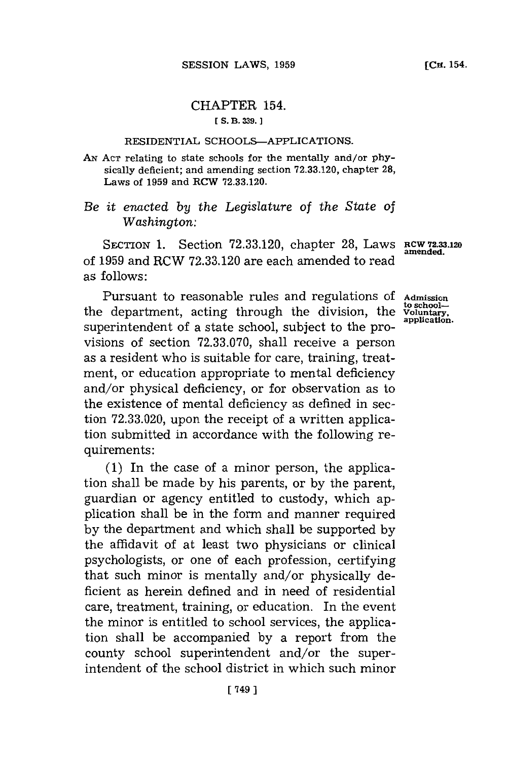## CHAPTER 154. **[ S. B. 339.**

## RESIDENTIAL SCHOOLS-APPLICATIONS.

AN Act relating to state schools for the mentally and/or physically deficient; and amending section **72.33.120,** chapter **28,** Laws of **1959** and RCW **72.33.120.**

## *Be it enacted by the Legislature* of *the State of Washington:*

SECTION 1. Section 72.33.120, chapter 28, Laws **RCW 72.33.120** of 1959 and RCW 72.33.120 are each amended to read as follows:

Pursuant to reasonable rules and regulations of Admission department, acting through the division, the Voluntary, the department, acting through the division, the **Voluntary,** superintendent of a state school, subject to the provisions of section **72.33.070,** shall receive a person as a resident who is suitable for care, training, treatment, or education appropriate to mental deficiency and/or physical deficiency, or for observation as to the existence of mental deficiency as defined in section **72.33.020,** upon the receipt of a written application submitted in accordance with the following requirements:

**(1)** In the case of a minor person, the application shall be made **by** his parents, or **by** the parent, guardian or agency entitled to custody, which application shall be in the form and manner required **by** the department and which shall be supported **by** the affidavit of at least two physicians or clinical psychologists, or one of each profession, certifying that such minor is mentally and/or physically deficient as herein defined and in need of residential care, treatment, training, or education. In the event the minor is entitled to school services, the application shall be accompanied **by** a report from the county school superintendent and/or the superintendent of the school district in which such minor

**[** 749 **]**